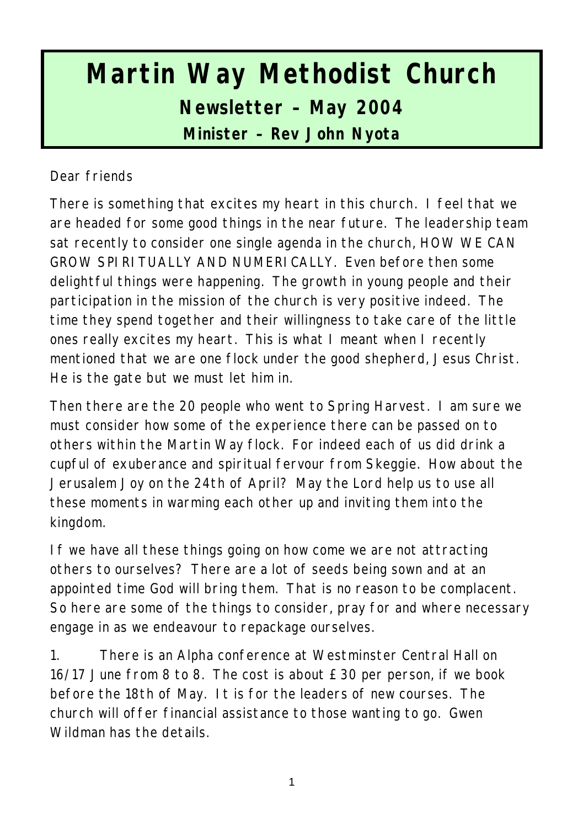# **Martin Way Methodist Church Newsletter – May 2004 Minister – Rev John Nyota**

#### Dear friends

There is something that excites my heart in this church. I feel that we are headed for some good things in the near future. The leadership team sat recently to consider one single agenda in the church, HOW WE CAN GROW SPIRITUALLY AND NUMERICALLY. Even before then some delightful things were happening. The growth in young people and their participation in the mission of the church is very positive indeed. The time they spend together and their willingness to take care of the little ones really excites my heart. This is what I meant when I recently mentioned that we are one flock under the good shepherd, Jesus Christ. He is the gate but we must let him in.

Then there are the 20 people who went to Spring Harvest. I am sure we must consider how some of the experience there can be passed on to others within the Martin Way flock. For indeed each of us did drink a cupful of exuberance and spiritual fervour from Skeggie. How about the Jerusalem Joy on the 24th of April? May the Lord help us to use all these moments in warming each other up and inviting them into the kingdom.

If we have all these things going on how come we are not attracting others to ourselves? There are a lot of seeds being sown and at an appointed time God will bring them. That is no reason to be complacent. So here are some of the things to consider, pray for and where necessary engage in as we endeavour to repackage ourselves.

1. There is an Alpha conference at Westminster Central Hall on 16/17 June from 8 to 8. The cost is about £30 per person, if we book before the 18th of May. It is for the leaders of new courses. The church will offer financial assistance to those wanting to go. Gwen Wildman has the details.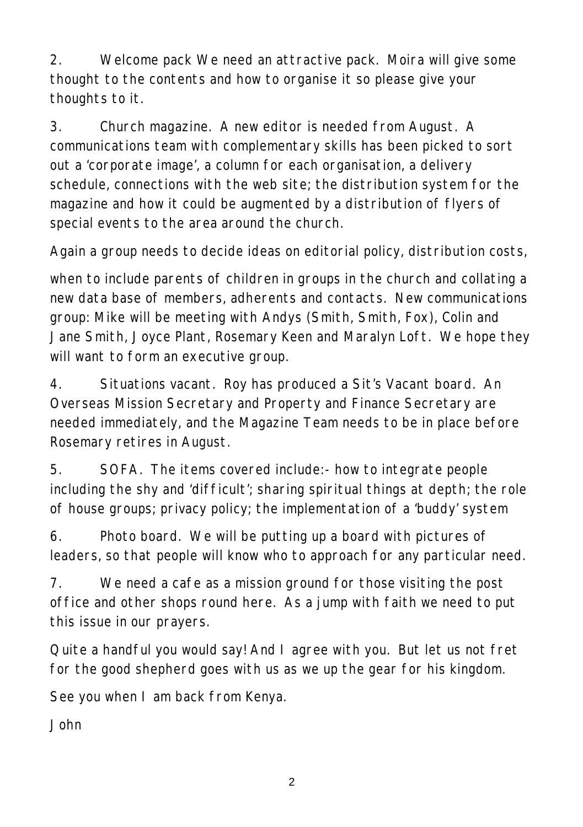2. Welcome pack We need an attractive pack. Moira will give some thought to the contents and how to organise it so please give your thoughts to it.

3. Church magazine. A new editor is needed from August. A communications team with complementary skills has been picked to sort out a 'corporate image', a column for each organisation, a delivery schedule, connections with the web site; the distribution system for the magazine and how it could be augmented by a distribution of flyers of special events to the area around the church.

Again a group needs to decide ideas on editorial policy, distribution costs,

when to include parents of children in groups in the church and collating a new data base of members, adherents and contacts. New communications group: Mike will be meeting with Andys (Smith, Smith, Fox), Colin and Jane Smith, Joyce Plant, Rosemary Keen and Maralyn Loft. We hope they will want to form an executive group.

4. Situations vacant. Roy has produced a Sit's Vacant board. An Overseas Mission Secretary and Property and Finance Secretary are needed immediately, and the Magazine Team needs to be in place before Rosemary retires in August.

5. SOFA. The items covered include:- how to integrate people including the shy and 'difficult'; sharing spiritual things at depth; the role of house groups; privacy policy; the implementation of a 'buddy' system

6. Photo board. We will be putting up a board with pictures of leaders, so that people will know who to approach for any particular need.

7. We need a cafe as a mission ground for those visiting the post office and other shops round here. As a jump with faith we need to put this issue in our prayers.

Quite a handful you would say! And I agree with you. But let us not fret for the good shepherd goes with us as we up the gear for his kingdom.

See you when I am back from Kenya.

John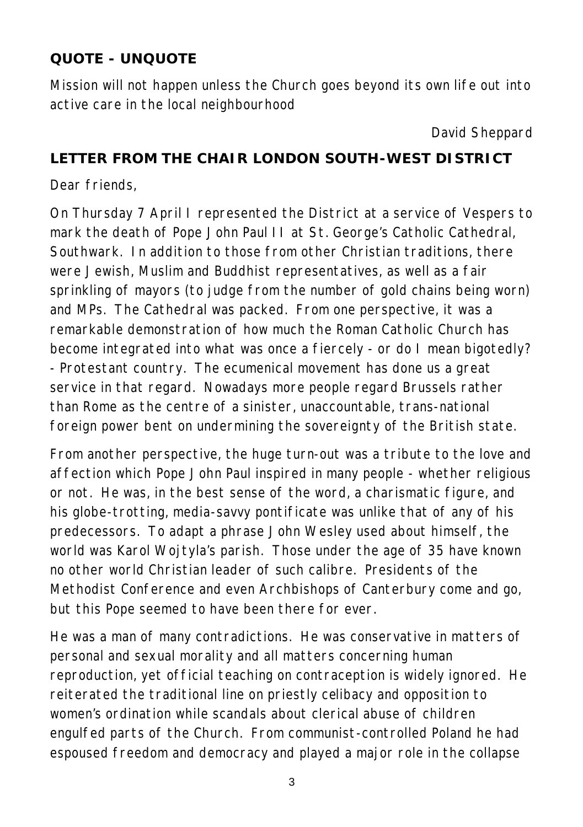## **QUOTE - UNQUOTE**

Mission will not happen unless the Church goes beyond its own life out into active care in the local neighbourhood

*David Sheppard*

#### **LETTER FROM THE CHAIR LONDON SOUTH-WEST DISTRICT**

Dear friends,

On Thursday 7 April I represented the District at a service of Vespers to mark the death of Pope John Paul II at St. George's Catholic Cathedral, Southwark. In addition to those from other Christian traditions, there were Jewish, Muslim and Buddhist representatives, as well as a fair sprinkling of mayors (to judge from the number of gold chains being worn) and MPs. The Cathedral was packed. From one perspective, it was a remarkable demonstration of how much the Roman Catholic Church has become integrated into what was once a fiercely - or do I mean bigotedly? - Protestant country. The ecumenical movement has done us a great service in that regard. Nowadays more people regard Brussels rather than Rome as the centre of a sinister, unaccountable, trans-national foreign power bent on undermining the sovereignty of the British state.

From another perspective, the huge turn-out was a tribute to the love and affection which Pope John Paul inspired in many people - whether religious or not. He was, in the best sense of the word, a charismatic figure, and his globe-trotting, media-savvy pontificate was unlike that of any of his predecessors. To adapt a phrase John Wesley used about himself, the world was Karol Wojtyla's parish. Those under the age of 35 have known no other world Christian leader of such calibre. Presidents of the Methodist Conference and even Archbishops of Canterbury come and go, but this Pope seemed to have been there for ever.

He was a man of many contradictions. He was conservative in matters of personal and sexual morality and all matters concerning human reproduction, yet official teaching on contraception is widely ignored. He reiterated the traditional line on priestly celibacy and opposition to women's ordination while scandals about clerical abuse of children engulfed parts of the Church. From communist-controlled Poland he had espoused freedom and democracy and played a major role in the collapse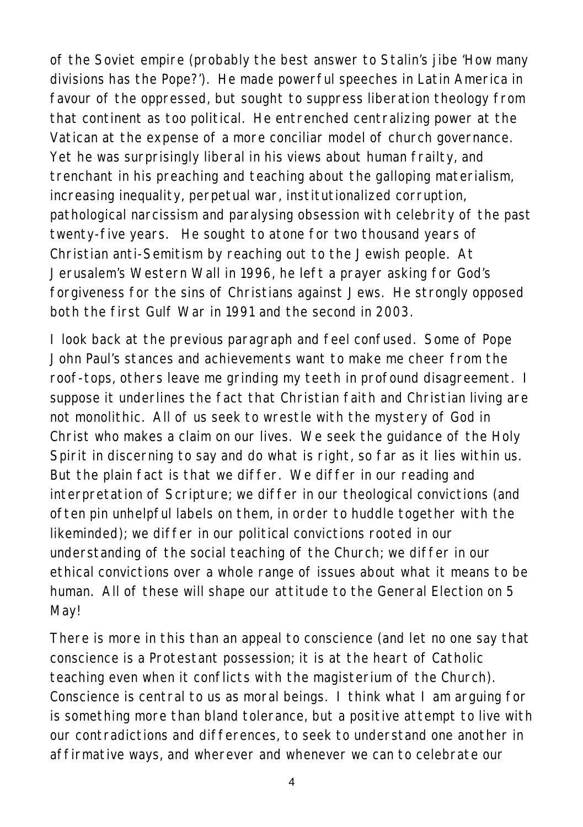of the Soviet empire (probably the best answer to Stalin's jibe 'How many divisions has the Pope?'). He made powerful speeches in Latin America in favour of the oppressed, but sought to suppress liberation theology from that continent as too political. He entrenched centralizing power at the Vatican at the expense of a more conciliar model of church governance. Yet he was surprisingly liberal in his views about human frailty, and trenchant in his preaching and teaching about the galloping materialism, increasing inequality, perpetual war, institutionalized corruption, pathological narcissism and paralysing obsession with celebrity of the past twenty-five years. He sought to atone for two thousand years of Christian anti-Semitism by reaching out to the Jewish people. At Jerusalem's Western Wall in 1996, he left a prayer asking for God's forgiveness for the sins of Christians against Jews. He strongly opposed both the first Gulf War in 1991 and the second in 2003.

I look back at the previous paragraph and feel confused. Some of Pope John Paul's stances and achievements want to make me cheer from the roof-tops, others leave me grinding my teeth in profound disagreement. I suppose it underlines the fact that Christian faith and Christian living are not monolithic. All of us seek to wrestle with the mystery of God in Christ who makes a claim on our lives. We seek the guidance of the Holy Spirit in discerning to say and do what is right, so far as it lies within us. But the plain fact is that we differ. We differ in our reading and interpretation of Scripture; we differ in our theological convictions (and often pin unhelpful labels on them, in order to huddle together with the likeminded); we differ in our political convictions rooted in our understanding of the social teaching of the Church; we differ in our ethical convictions over a whole range of issues about what it means to be human. All of these will shape our attitude to the General Election on 5 May!

There is more in this than an appeal to conscience (and let no one say that conscience is a Protestant possession; it is at the heart of Catholic teaching even when it conflicts with the magisterium of the Church). Conscience is central to us as moral beings. I think what I am arguing for is something more than bland tolerance, but a positive attempt to live with our contradictions and differences, to seek to understand one another in affirmative ways, and wherever and whenever we can to celebrate our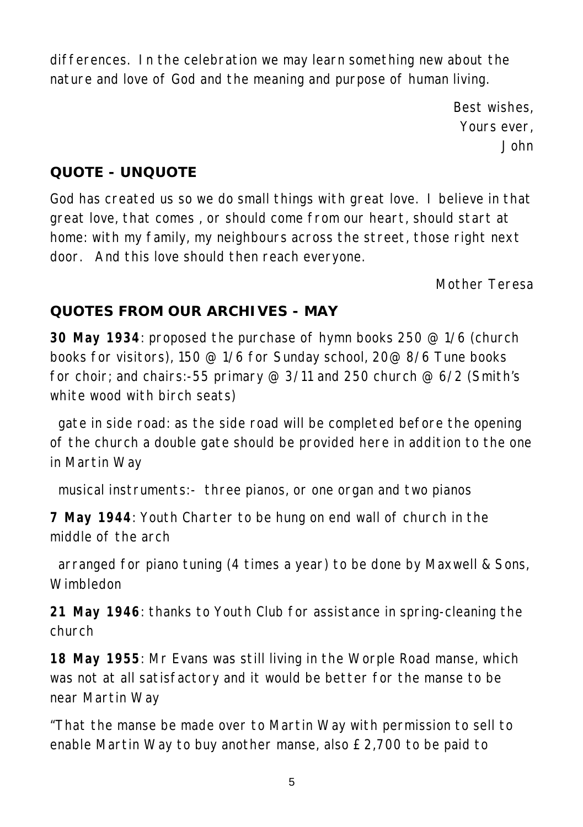differences. In the celebration we may learn something new about the nature and love of God and the meaning and purpose of human living.

> *Best wishes, Yours ever, John*

#### **QUOTE - UNQUOTE**

God has created us so we do small things with great love. I believe in that great love, that comes , or should come from our heart, should start at home: with my family, my neighbours across the street, those right next door. And this love should then reach everyone.

*Mother Teresa*

#### **QUOTES FROM OUR ARCHIVES - MAY**

**30 May 1934**: proposed the purchase of hymn books 250 @ 1/6 (church books for visitors), 150 @ 1/6 for Sunday school, 20@ 8/6 Tune books for choir; and chairs:-55 primary  $@3/11$  and 250 church  $@6/2$  (Smith's white wood with birch seats)

 gate in side road: as the side road will be completed before the opening of the church a double gate should be provided here in addition to the one in Martin Way

musical instruments:- three pianos, or one organ and two pianos

**7 May 1944**: Youth Charter to be hung on end wall of church in the middle of the arch

 arranged for piano tuning (4 times a year) to be done by Maxwell & Sons, Wimbledon

**21 May 1946**: thanks to Youth Club for assistance in spring-cleaning the church

**18 May 1955**: Mr Evans was still living in the Worple Road manse, which was not at all satisfactory and it would be better for the manse to be near Martin Way

"That the manse be made over to Martin Way with permission to sell to enable Martin Way to buy another manse, also £2,700 to be paid to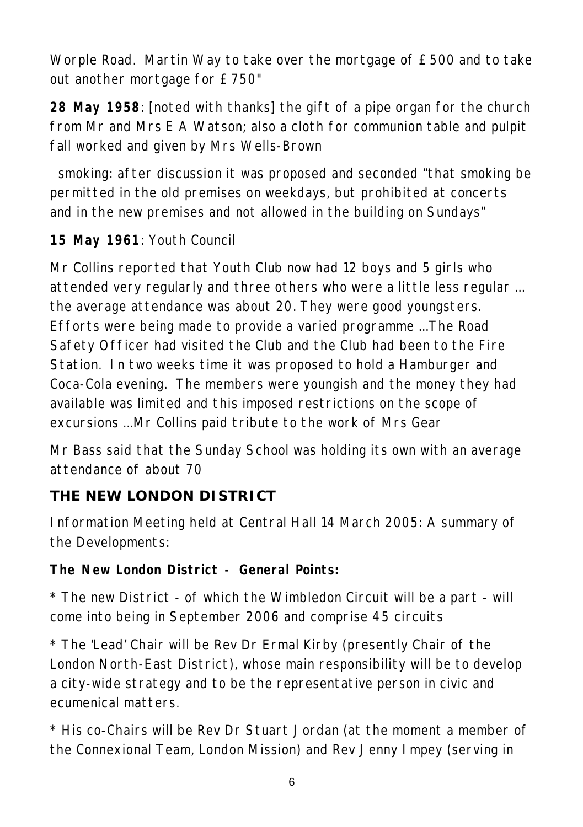Worple Road. Martin Way to take over the mortgage of £500 and to take out another mortgage for £750"

**28 May 1958**: [noted with thanks] the gift of a pipe organ for the church from Mr and Mrs E A Watson; also a cloth for communion table and pulpit fall worked and given by Mrs Wells-Brown

 smoking: after discussion it was proposed and seconded "that smoking be permitted in the old premises on weekdays, but prohibited at concerts and in the new premises and not allowed in the building on Sundays"

## **15 May 1961**: Youth Council

Mr Collins reported that Youth Club now had 12 boys and 5 girls who attended very regularly and three others who were a little less regular ... the average attendance was about 20. They were good youngsters. Efforts were being made to provide a varied programme ...The Road Safety Officer had visited the Club and the Club had been to the Fire Station. In two weeks time it was proposed to hold a Hamburger and Coca-Cola evening. The members were youngish and the money they had available was limited and this imposed restrictions on the scope of excursions ...Mr Collins paid tribute to the work of Mrs Gear

Mr Bass said that the Sunday School was holding its own with an average attendance of about 70

# **THE NEW LONDON DISTRICT**

Information Meeting held at Central Hall 14 March 2005: A summary of the Developments:

**The New London District - General Points:**

\* The new District - of which the Wimbledon Circuit will be a part - will come into being in September 2006 and comprise 45 circuits

\* The 'Lead' Chair will be Rev Dr Ermal Kirby (presently Chair of the London North-East District), whose main responsibility will be to develop a city-wide strategy and to be the representative person in civic and ecumenical matters.

\* His co-Chairs will be Rev Dr Stuart Jordan (at the moment a member of the Connexional Team, London Mission) and Rev Jenny Impey (serving in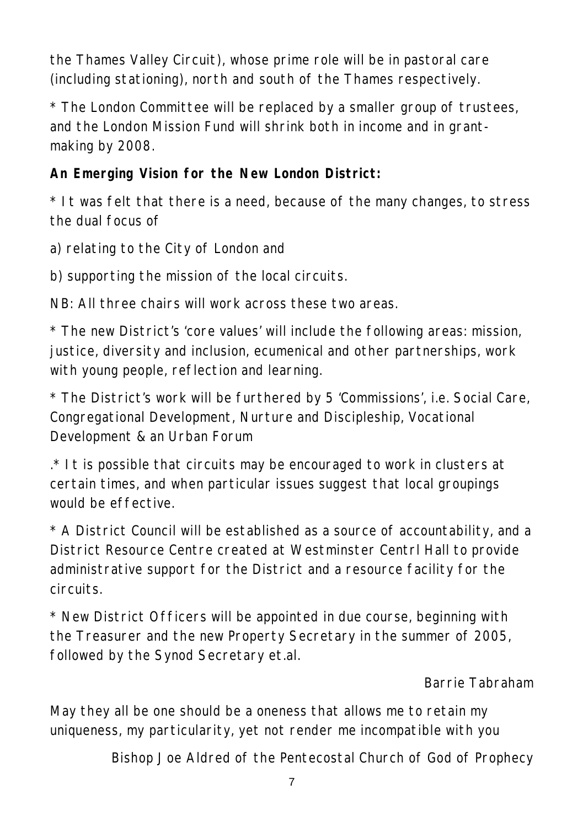the Thames Valley Circuit), whose prime role will be in pastoral care (including stationing), north and south of the Thames respectively.

\* The London Committee will be replaced by a smaller group of trustees, and the London Mission Fund will shrink both in income and in grantmaking by 2008.

**An Emerging Vision for the New London District:**

\* It was felt that there is a need, because of the many changes, to stress the dual focus of

a) relating to the City of London and

b) supporting the mission of the local circuits.

NB: All three chairs will work across these two areas.

\* The new District's 'core values' will include the following areas: mission, justice, diversity and inclusion, ecumenical and other partnerships, work with young people, reflection and learning.

\* The District's work will be furthered by 5 'Commissions', i.e. Social Care, Congregational Development, Nurture and Discipleship, Vocational Development & an Urban Forum

 $.*$  It is possible that circuits may be encouraged to work in clusters at certain times, and when particular issues suggest that local groupings would be effective.

\* A District Council will be established as a source of accountability, and a District Resource Centre created at Westminster Centrl Hall to provide administrative support for the District and a resource facility for the circuits.

\* New District Officers will be appointed in due course, beginning with the Treasurer and the new Property Secretary in the summer of 2005, followed by the Synod Secretary et.al.

#### *Barrie Tabraham*

May they all be one should be a oneness that allows me to retain my uniqueness, my particularity, yet not render me incompatible with you

*Bishop Joe Aldred of the Pentecostal Church of God of Prophecy*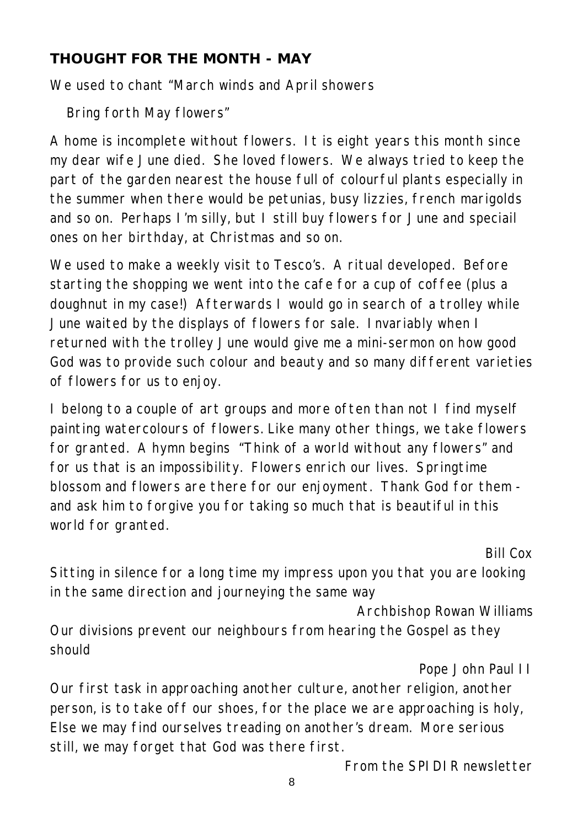#### **THOUGHT FOR THE MONTH - MAY**

We used to chant "March winds and April showers

Bring forth May flowers"

A home is incomplete without flowers. It is eight years this month since my dear wife June died. She loved flowers. We always tried to keep the part of the garden nearest the house full of colourful plants especially in the summer when there would be petunias, busy lizzies, french marigolds and so on. Perhaps I'm silly, but I still buy flowers for June and speciail ones on her birthday, at Christmas and so on.

We used to make a weekly visit to Tesco's. A ritual developed. Before starting the shopping we went into the cafe for a cup of coffee (plus a doughnut in my case!) Afterwards I would go in search of a trolley while June waited by the displays of flowers for sale. Invariably when I returned with the trolley June would give me a mini-sermon on how good God was to provide such colour and beauty and so many different varieties of flowers for us to enjoy.

I belong to a couple of art groups and more often than not I find myself painting watercolours of flowers. Like many other things, we take flowers for granted. A hymn begins "Think of a world without any flowers" and for us that is an impossibility. Flowers enrich our lives. Springtime blossom and flowers are there for our enjoyment. Thank God for them and ask him to forgive you for taking so much that is beautiful in this world for granted.

*Bill Cox*

Sitting in silence for a long time my impress upon you that you are looking in the same direction and journeying the same way

*Archbishop Rowan Williams*

Our divisions prevent our neighbours from hearing the Gospel as they should

#### *Pope John Paul II*

Our first task in approaching another culture, another religion, another person, is to take off our shoes, for the place we are approaching is holy, Else we may find ourselves treading on another's dream. More serious still, we may forget that God was there first.

*From the SPIDIR newsletter*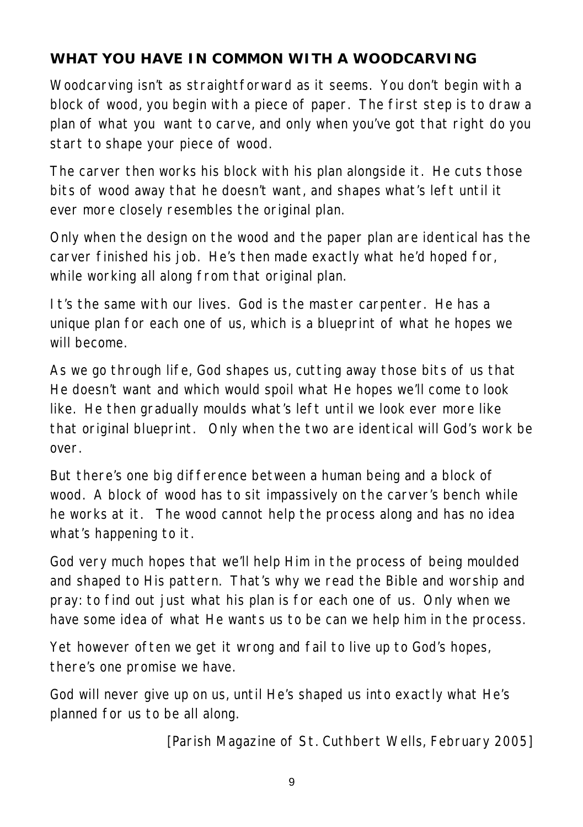# **WHAT YOU HAVE IN COMMON WITH A WOODCARVING**

Woodcarving isn't as straightforward as it seems. You don't begin with a block of wood, you begin with a piece of paper. The first step is to draw a plan of what you want to carve, and only when you've got that right do you start to shape your piece of wood.

The carver then works his block with his plan alongside it. He cuts those bits of wood away that he doesn't want, and shapes what's left until it ever more closely resembles the original plan.

Only when the design on the wood and the paper plan are identical has the carver finished his job. He's then made exactly what he'd hoped for, while working all along from that original plan.

It's the same with our lives. God is the master carpenter. He has a unique plan for each one of us, which is a blueprint of what he hopes we will become.

As we go through life, God shapes us, cutting away those bits of us that He doesn't want and which would spoil what He hopes we'll come to look like. He then gradually moulds what's left until we look ever more like that original blueprint. Only when the two are identical will God's work be over.

But there's one big difference between a human being and a block of wood. A block of wood has to sit impassively on the carver's bench while he works at it. The wood cannot help the process along and has no idea what's happening to it.

God very much hopes that we'll help Him in the process of being moulded and shaped to His pattern. That's why we read the Bible and worship and pray: to find out just what his plan is for each one of us. Only when we have some idea of what He wants us to be can we help him in the process.

Yet however often we get it wrong and fail to live up to God's hopes, there's one promise we have.

God will never give up on us, until He's shaped us into exactly what He's planned for us to be all along.

*[Parish Magazine of St. Cuthbert Wells, February 2005]*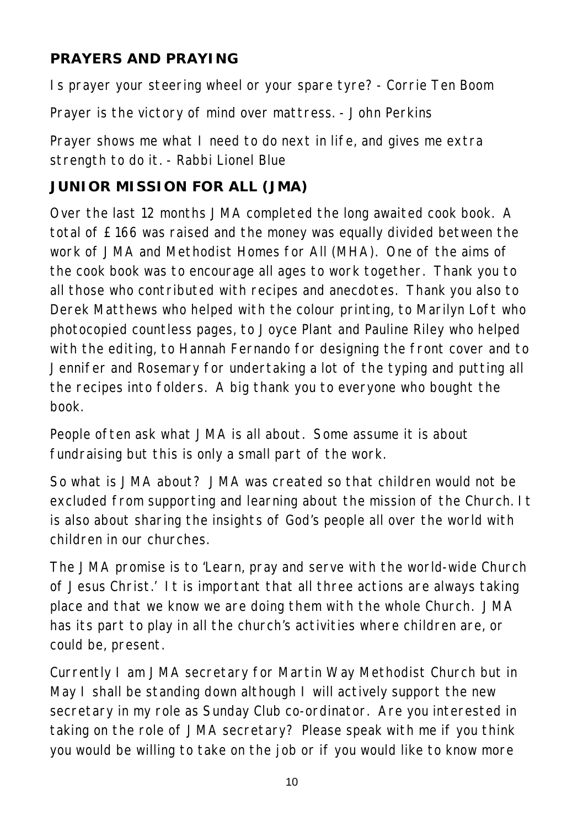## **PRAYERS AND PRAYING**

Is prayer your steering wheel or your spare tyre? - *Corrie Ten Boom*

Prayer is the victory of mind over mattress. - *John Perkins*

Prayer shows me what I need to do next in life, and gives me extra strength to do it. - *Rabbi Lionel Blue*

## **JUNIOR MISSION FOR ALL (JMA)**

Over the last 12 months JMA completed the long awaited cook book. A total of £166 was raised and the money was equally divided between the work of JMA and Methodist Homes for All (MHA). One of the aims of the cook book was to encourage all ages to work together. Thank you to all those who contributed with recipes and anecdotes. Thank you also to Derek Matthews who helped with the colour printing, to Marilyn Loft who photocopied countless pages, to Joyce Plant and Pauline Riley who helped with the editing, to Hannah Fernando for designing the front cover and to Jennifer and Rosemary for undertaking a lot of the typing and putting all the recipes into folders. A big thank you to everyone who bought the book.

People often ask what JMA is all about. Some assume it is about fundraising but this is only a small part of the work.

So what is JMA about? JMA was created so that children would not be excluded from supporting and learning about the mission of the Church. It is also about sharing the insights of God's people all over the world with children in our churches.

The JMA promise is to 'Learn, pray and serve with the world-wide Church of Jesus Christ.' It is important that all three actions are always taking place and that we know we are doing them with the whole Church. JMA has its part to play in all the church's activities where children are, or could be, present.

Currently I am JMA secretary for Martin Way Methodist Church but in May I shall be standing down although I will actively support the new secretary in my role as Sunday Club co-ordinator. Are you interested in taking on the role of JMA secretary? Please speak with me if you think you would be willing to take on the job or if you would like to know more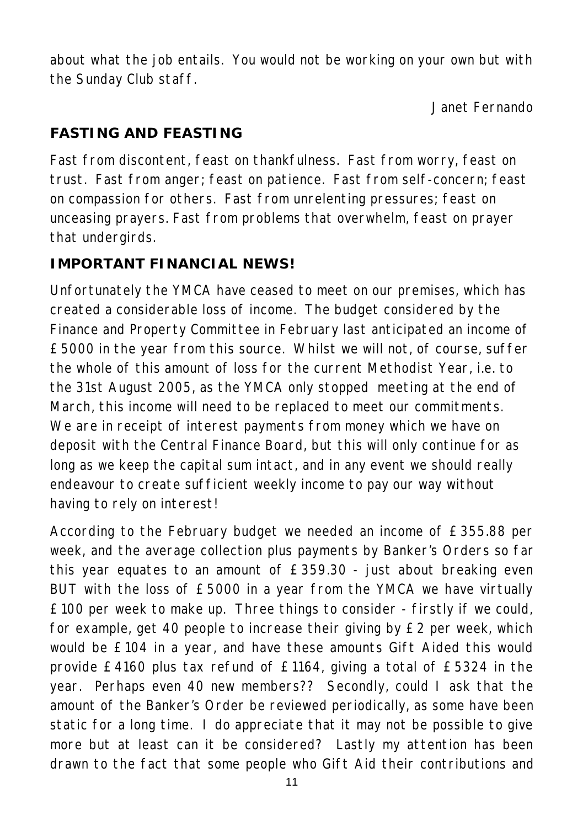about what the job entails. You would not be working on your own but with the Sunday Club staff.

*Janet Fernando*

# **FASTING AND FEASTING**

Fast from discontent, feast on thankfulness. Fast from worry, feast on trust. Fast from anger; feast on patience. Fast from self-concern; feast on compassion for others. Fast from unrelenting pressures; feast on unceasing prayers. Fast from problems that overwhelm, feast on prayer that undergirds.

# **IMPORTANT FINANCIAL NEWS!**

Unfortunately the YMCA have ceased to meet on our premises, which has created a considerable loss of income. The budget considered by the Finance and Property Committee in February last anticipated an income of £5000 in the year from this source. Whilst we will not, of course, suffer the whole of this amount of loss for the current Methodist Year, i.e. to the 31st August 2005, as the YMCA only stopped meeting at the end of March, this income will need to be replaced to meet our commitments. We are in receipt of interest payments from money which we have on deposit with the Central Finance Board, but this will only continue for as long as we keep the capital sum intact, and in any event we should really endeavour to create sufficient weekly income to pay our way without having to rely on interest!

According to the February budget we needed an income of £355.88 per week, and the average collection plus payments by Banker's Orders so far this year equates to an amount of £359.30 - just about breaking even BUT with the loss of £5000 in a year from the YMCA we have virtually £100 per week to make up. Three things to consider - firstly if we could, for example, get 40 people to increase their giving by £2 per week, which would be £104 in a year, and have these amounts Gift Aided this would provide £4160 plus tax refund of £1164, giving a total of £5324 in the year. Perhaps even 40 new members?? Secondly, could I ask that the amount of the Banker's Order be reviewed periodically, as some have been static for a long time. I do appreciate that it may not be possible to give more but at least can it be considered? Lastly my attention has been drawn to the fact that some people who Gift Aid their contributions and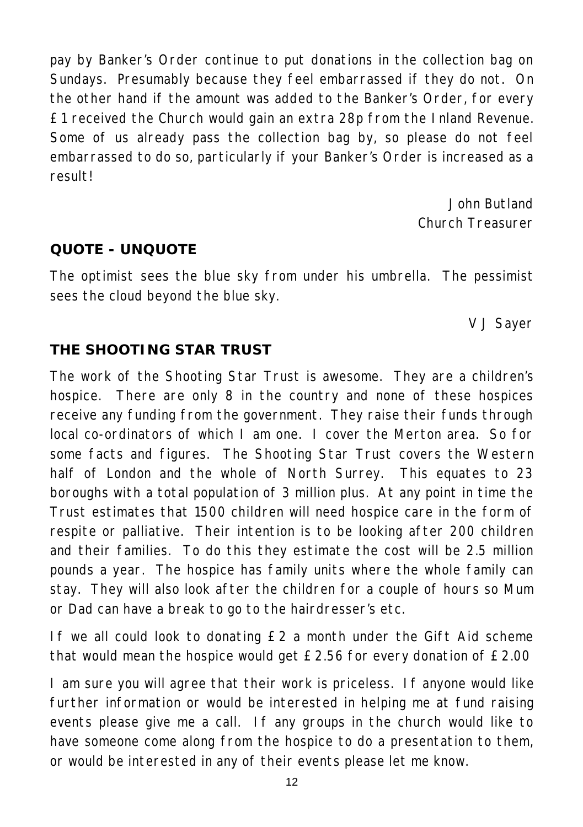pay by Banker's Order continue to put donations in the collection bag on Sundays. Presumably because they feel embarrassed if they do not. On the other hand if the amount was added to the Banker's Order, for every £1 received the Church would gain an extra 28p from the Inland Revenue. Some of us already pass the collection bag by, so please do not feel embarrassed to do so, particularly if your Banker's Order is increased as a result!

> *John Butland Church Treasurer*

#### **QUOTE - UNQUOTE**

The optimist sees the blue sky from under his umbrella. The pessimist sees the cloud beyond the blue sky.

*V J Sayer*

#### **THE SHOOTING STAR TRUST**

The work of the Shooting Star Trust is awesome. They are a children's hospice. There are only 8 in the country and none of these hospices receive any funding from the government. They raise their funds through local co-ordinators of which I am one. I cover the Merton area. So for some facts and figures. The Shooting Star Trust covers the Western half of London and the whole of North Surrey. This equates to 23 boroughs with a total population of 3 million plus. At any point in time the Trust estimates that 1500 children will need hospice care in the form of respite or palliative. Their intention is to be looking after 200 children and their families. To do this they estimate the cost will be 2.5 million pounds a year. The hospice has family units where the whole family can stay. They will also look after the children for a couple of hours so Mum or Dad can have a break to go to the hairdresser's etc.

If we all could look to donating £2 a month under the Gift Aid scheme that would mean the hospice would get £2.56 for every donation of £2.00

I am sure you will agree that their work is priceless. If anyone would like further information or would be interested in helping me at fund raising events please give me a call. If any groups in the church would like to have someone come along from the hospice to do a presentation to them, or would be interested in any of their events please let me know.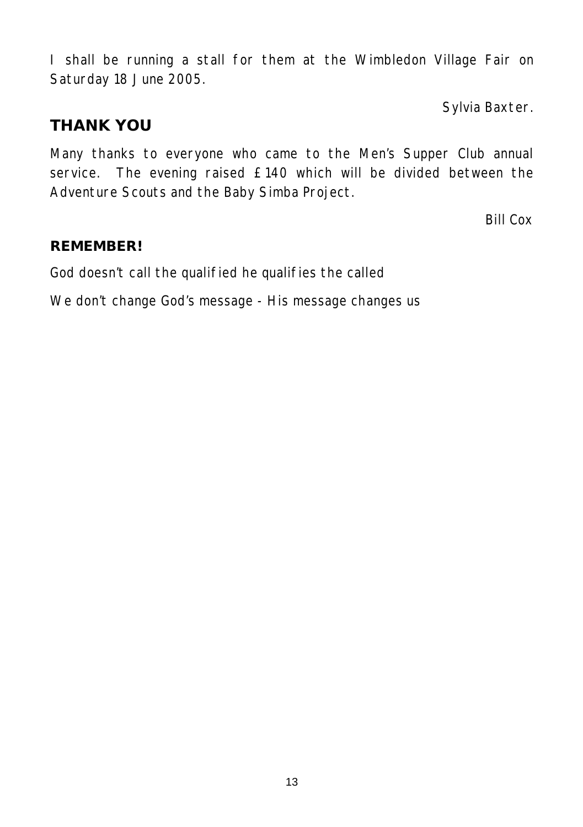I shall be running a stall for them at the Wimbledon Village Fair on Saturday 18 June 2005.

*Sylvia Baxter.*

# **THANK YOU**

Many thanks to everyone who came to the Men's Supper Club annual service. The evening raised £140 which will be divided between the Adventure Scouts and the Baby Simba Project.

*Bill Cox*

#### **REMEMBER!**

God doesn't call the qualified he qualifies the called

We don't change God's message - His message changes us